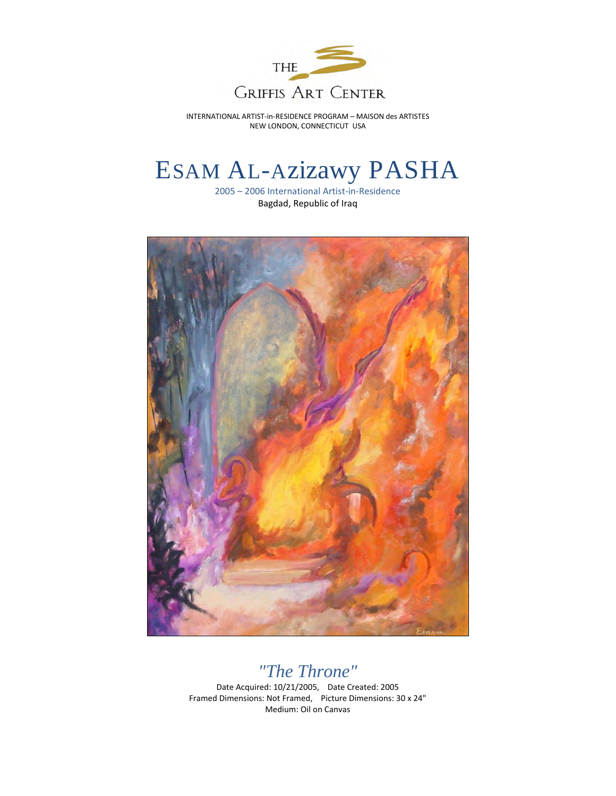

# ESAM AL-Azizawy PASHA

2005 – 2006 International Artist-in-Residence Bagdad, Republic of Iraq



### *"The Throne"*

Date Acquired: 10/21/2005, Date Created: 2005 Framed Dimensions: Not Framed, Picture Dimensions: 30 x 24" Medium: Oil on Canvas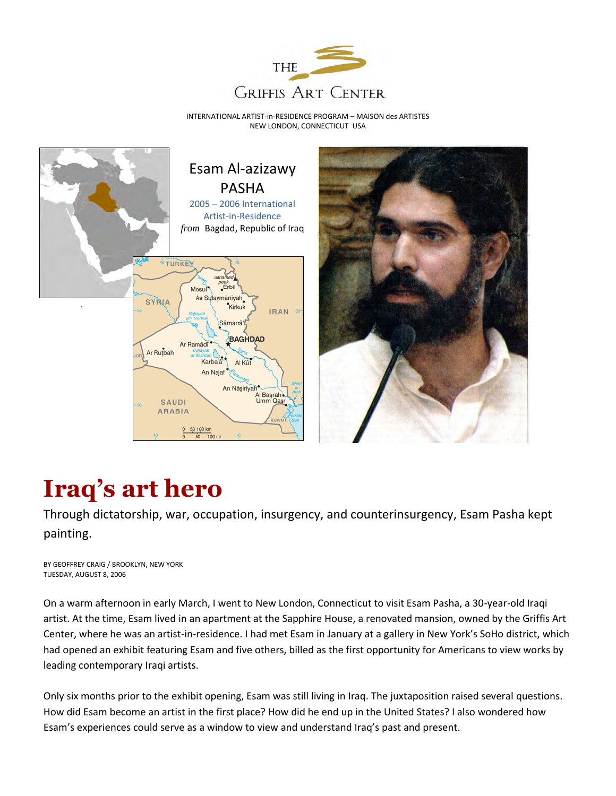





# **Iraq's art hero**

Through dictatorship, war, occupation, insurgency, and counterinsurgency, Esam Pasha kept painting.

BY GEOFFREY CRAIG / BROOKLYN, NEW YORK TUESDAY, AUGUST 8, 2006

On a warm afternoon in early March, I went to New London, Connecticut to visit Esam Pasha, a 30-year-old Iraqi artist. At the time, Esam lived in an apartment at the Sapphire House, a renovated mansion, owned by the Griffis Art Center, where he was an artist-in-residence. I had met Esam in January at a gallery in New York's SoHo district, which had opened an exhibit featuring Esam and five others, billed as the first opportunity for Americans to view works by leading contemporary Iraqi artists.

Only six months prior to the exhibit opening, Esam was still living in Iraq. The juxtaposition raised several questions. How did Esam become an artist in the first place? How did he end up in the United States? I also wondered how Esam's experiences could serve as a window to view and understand Iraq's past and present.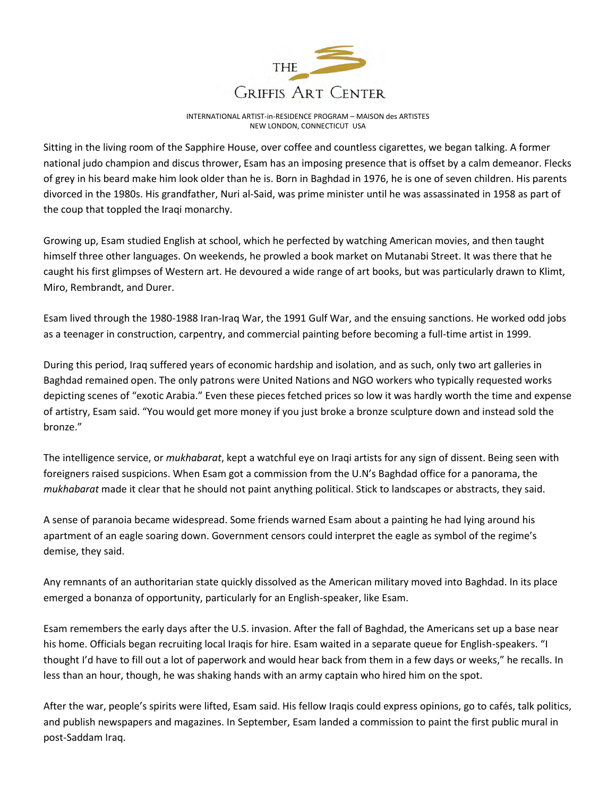

Sitting in the living room of the Sapphire House, over coffee and countless cigarettes, we began talking. A former national judo champion and discus thrower, Esam has an imposing presence that is offset by a calm demeanor. Flecks of grey in his beard make him look older than he is. Born in Baghdad in 1976, he is one of seven children. His parents divorced in the 1980s. His grandfather, Nuri al-Said, was prime minister until he was assassinated in 1958 as part of the coup that toppled the Iraqi monarchy.

Growing up, Esam studied English at school, which he perfected by watching American movies, and then taught himself three other languages. On weekends, he prowled a book market on Mutanabi Street. It was there that he caught his first glimpses of Western art. He devoured a wide range of art books, but was particularly drawn to Klimt, Miro, Rembrandt, and Durer.

Esam lived through the 1980-1988 Iran-Iraq War, the 1991 Gulf War, and the ensuing sanctions. He worked odd jobs as a teenager in construction, carpentry, and commercial painting before becoming a full-time artist in 1999.

During this period, Iraq suffered years of economic hardship and isolation, and as such, only two art galleries in Baghdad remained open. The only patrons were United Nations and NGO workers who typically requested works depicting scenes of "exotic Arabia." Even these pieces fetched prices so low it was hardly worth the time and expense of artistry, Esam said. "You would get more money if you just broke a bronze sculpture down and instead sold the bronze."

The intelligence service, or *mukhabarat*, kept a watchful eye on Iraqi artists for any sign of dissent. Being seen with foreigners raised suspicions. When Esam got a commission from the U.N's Baghdad office for a panorama, the *mukhabarat* made it clear that he should not paint anything political. Stick to landscapes or abstracts, they said.

A sense of paranoia became widespread. Some friends warned Esam about a painting he had lying around his apartment of an eagle soaring down. Government censors could interpret the eagle as symbol of the regime's demise, they said.

Any remnants of an authoritarian state quickly dissolved as the American military moved into Baghdad. In its place emerged a bonanza of opportunity, particularly for an English-speaker, like Esam.

Esam remembers the early days after the U.S. invasion. After the fall of Baghdad, the Americans set up a base near his home. Officials began recruiting local Iraqis for hire. Esam waited in a separate queue for English-speakers. "I thought I'd have to fill out a lot of paperwork and would hear back from them in a few days or weeks," he recalls. In less than an hour, though, he was shaking hands with an army captain who hired him on the spot.

After the war, people's spirits were lifted, Esam said. His fellow Iraqis could express opinions, go to cafés, talk politics, and publish newspapers and magazines. In September, Esam landed a commission to paint the first public mural in post-Saddam Iraq.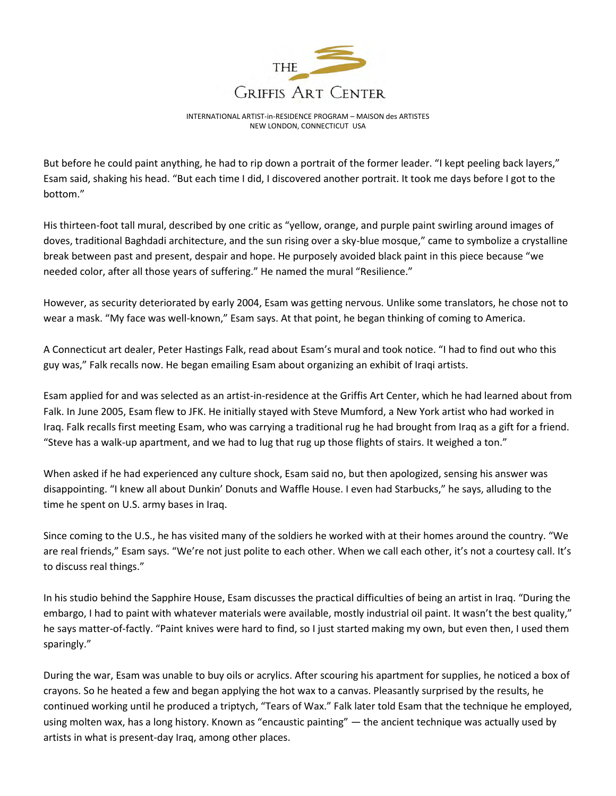

But before he could paint anything, he had to rip down a portrait of the former leader. "I kept peeling back layers," Esam said, shaking his head. "But each time I did, I discovered another portrait. It took me days before I got to the bottom."

His thirteen-foot tall mural, described by one critic as "yellow, orange, and purple paint swirling around images of doves, traditional Baghdadi architecture, and the sun rising over a sky-blue mosque," came to symbolize a crystalline break between past and present, despair and hope. He purposely avoided black paint in this piece because "we needed color, after all those years of suffering." He named the mural "Resilience."

However, as security deteriorated by early 2004, Esam was getting nervous. Unlike some translators, he chose not to wear a mask. "My face was well-known," Esam says. At that point, he began thinking of coming to America.

A Connecticut art dealer, Peter Hastings Falk, read about Esam's mural and took notice. "I had to find out who this guy was," Falk recalls now. He began emailing Esam about organizing an exhibit of Iraqi artists.

Esam applied for and was selected as an artist-in-residence at the Griffis Art Center, which he had learned about from Falk. In June 2005, Esam flew to JFK. He initially stayed with Steve Mumford, a New York artist who had worked in Iraq. Falk recalls first meeting Esam, who was carrying a traditional rug he had brought from Iraq as a gift for a friend. "Steve has a walk-up apartment, and we had to lug that rug up those flights of stairs. It weighed a ton."

When asked if he had experienced any culture shock, Esam said no, but then apologized, sensing his answer was disappointing. "I knew all about Dunkin' Donuts and Waffle House. I even had Starbucks," he says, alluding to the time he spent on U.S. army bases in Iraq.

Since coming to the U.S., he has visited many of the soldiers he worked with at their homes around the country. "We are real friends," Esam says. "We're not just polite to each other. When we call each other, it's not a courtesy call. It's to discuss real things."

In his studio behind the Sapphire House, Esam discusses the practical difficulties of being an artist in Iraq. "During the embargo, I had to paint with whatever materials were available, mostly industrial oil paint. It wasn't the best quality," he says matter-of-factly. "Paint knives were hard to find, so I just started making my own, but even then, I used them sparingly."

During the war, Esam was unable to buy oils or acrylics. After scouring his apartment for supplies, he noticed a box of crayons. So he heated a few and began applying the hot wax to a canvas. Pleasantly surprised by the results, he continued working until he produced a triptych, "Tears of Wax." Falk later told Esam that the technique he employed, using molten wax, has a long history. Known as "encaustic painting" — the ancient technique was actually used by artists in what is present-day Iraq, among other places.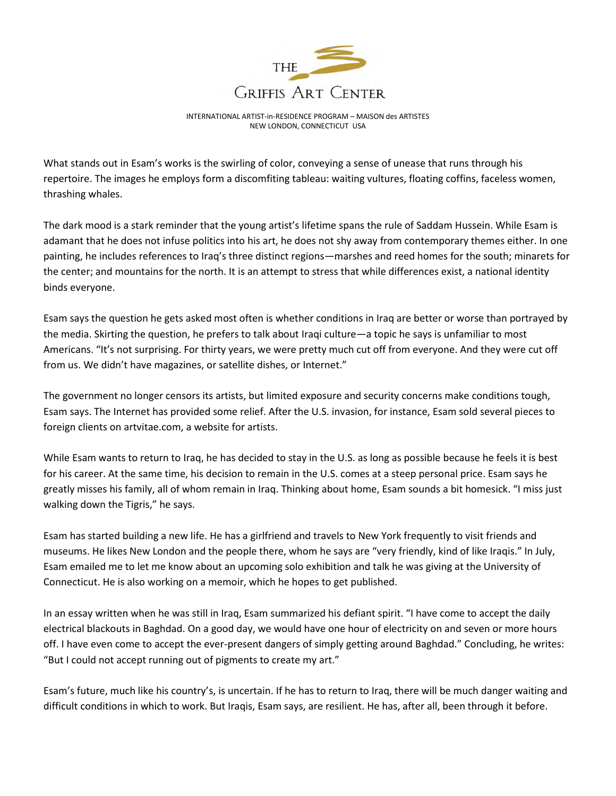

What stands out in Esam's works is the swirling of color, conveying a sense of unease that runs through his repertoire. The images he employs form a discomfiting tableau: waiting vultures, floating coffins, faceless women, thrashing whales.

The dark mood is a stark reminder that the young artist's lifetime spans the rule of Saddam Hussein. While Esam is adamant that he does not infuse politics into his art, he does not shy away from contemporary themes either. In one painting, he includes references to Iraq's three distinct regions—marshes and reed homes for the south; minarets for the center; and mountains for the north. It is an attempt to stress that while differences exist, a national identity binds everyone.

Esam says the question he gets asked most often is whether conditions in Iraq are better or worse than portrayed by the media. Skirting the question, he prefers to talk about Iraqi culture—a topic he says is unfamiliar to most Americans. "It's not surprising. For thirty years, we were pretty much cut off from everyone. And they were cut off from us. We didn't have magazines, or satellite dishes, or Internet."

The government no longer censors its artists, but limited exposure and security concerns make conditions tough, Esam says. The Internet has provided some relief. After the U.S. invasion, for instance, Esam sold several pieces to foreign clients on artvitae.com, a website for artists.

While Esam wants to return to Iraq, he has decided to stay in the U.S. as long as possible because he feels it is best for his career. At the same time, his decision to remain in the U.S. comes at a steep personal price. Esam says he greatly misses his family, all of whom remain in Iraq. Thinking about home, Esam sounds a bit homesick. "I miss just walking down the Tigris," he says.

Esam has started building a new life. He has a girlfriend and travels to New York frequently to visit friends and museums. He likes New London and the people there, whom he says are "very friendly, kind of like Iraqis." In July, Esam emailed me to let me know about an upcoming solo exhibition and talk he was giving at the University of Connecticut. He is also working on a memoir, which he hopes to get published.

In an essay written when he was still in Iraq, Esam summarized his defiant spirit. "I have come to accept the daily electrical blackouts in Baghdad. On a good day, we would have one hour of electricity on and seven or more hours off. I have even come to accept the ever-present dangers of simply getting around Baghdad." Concluding, he writes: "But I could not accept running out of pigments to create my art."

Esam's future, much like his country's, is uncertain. If he has to return to Iraq, there will be much danger waiting and difficult conditions in which to work. But Iraqis, Esam says, are resilient. He has, after all, been through it before.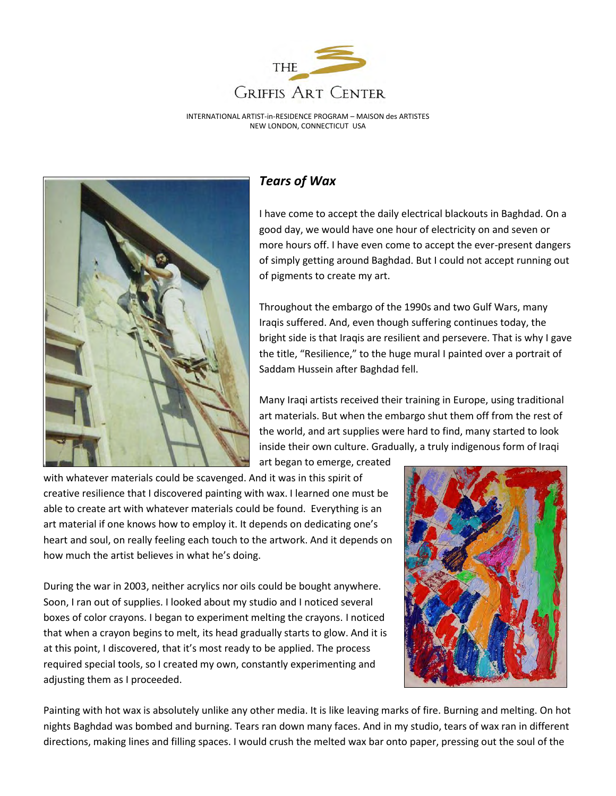



#### *Tears of Wax*

I have come to accept the daily electrical blackouts in Baghdad. On a good day, we would have one hour of electricity on and seven or more hours off. I have even come to accept the ever-present dangers of simply getting around Baghdad. But I could not accept running out of pigments to create my art.

Throughout the embargo of the 1990s and two Gulf Wars, many Iraqis suffered. And, even though suffering continues today, the bright side is that Iraqis are resilient and persevere. That is why I gave the title, "Resilience," to the huge mural I painted over a portrait of Saddam Hussein after Baghdad fell.

Many Iraqi artists received their training in Europe, using traditional art materials. But when the embargo shut them off from the rest of the world, and art supplies were hard to find, many started to look inside their own culture. Gradually, a truly indigenous form of Iraqi

art began to emerge, created

with whatever materials could be scavenged. And it was in this spirit of creative resilience that I discovered painting with wax. I learned one must be able to create art with whatever materials could be found. Everything is an art material if one knows how to employ it. It depends on dedicating one's heart and soul, on really feeling each touch to the artwork. And it depends on how much the artist believes in what he's doing.

During the war in 2003, neither acrylics nor oils could be bought anywhere. Soon, I ran out of supplies. I looked about my studio and I noticed several boxes of color crayons. I began to experiment melting the crayons. I noticed that when a crayon begins to melt, its head gradually starts to glow. And it is at this point, I discovered, that it's most ready to be applied. The process required special tools, so I created my own, constantly experimenting and adjusting them as I proceeded.



Painting with hot wax is absolutely unlike any other media. It is like leaving marks of fire. Burning and melting. On hot nights Baghdad was bombed and burning. Tears ran down many faces. And in my studio, tears of wax ran in different directions, making lines and filling spaces. I would crush the melted wax bar onto paper, pressing out the soul of the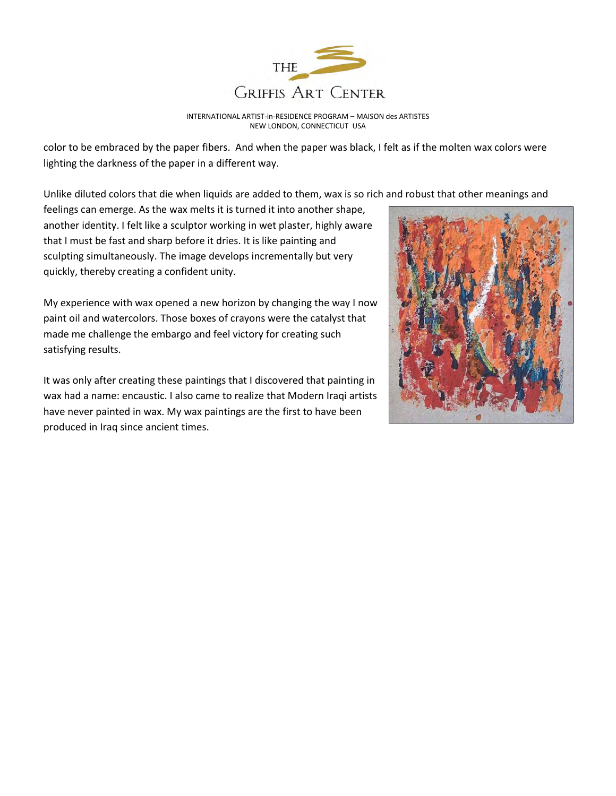

color to be embraced by the paper fibers. And when the paper was black, I felt as if the molten wax colors were lighting the darkness of the paper in a different way.

Unlike diluted colors that die when liquids are added to them, wax is so rich and robust that other meanings and

feelings can emerge. As the wax melts it is turned it into another shape, another identity. I felt like a sculptor working in wet plaster, highly aware that I must be fast and sharp before it dries. It is like painting and sculpting simultaneously. The image develops incrementally but very quickly, thereby creating a confident unity.

My experience with wax opened a new horizon by changing the way I now paint oil and watercolors. Those boxes of crayons were the catalyst that made me challenge the embargo and feel victory for creating such satisfying results.

It was only after creating these paintings that I discovered that painting in wax had a name: encaustic. I also came to realize that Modern Iraqi artists have never painted in wax. My wax paintings are the first to have been produced in Iraq since ancient times.

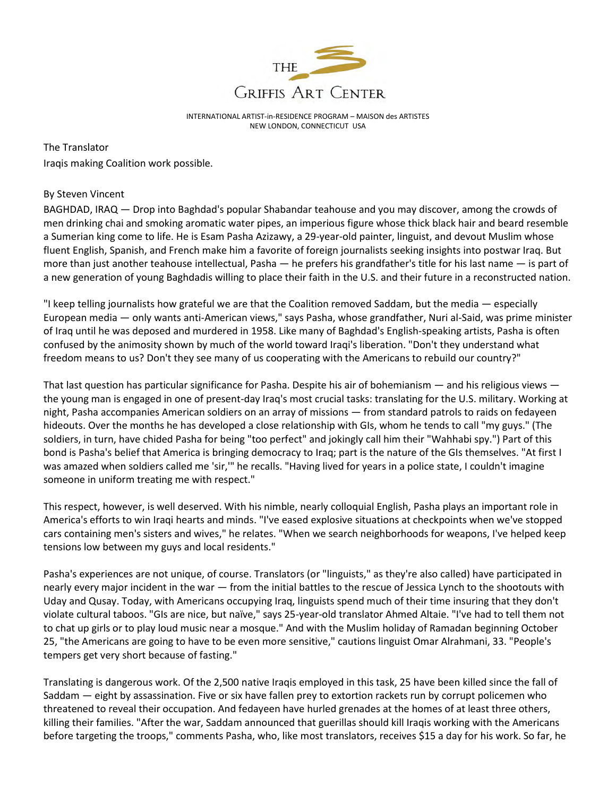

The Translator Iraqis making Coalition work possible.

#### By Steven Vincent

BAGHDAD, IRAQ — Drop into Baghdad's popular Shabandar teahouse and you may discover, among the crowds of men drinking chai and smoking aromatic water pipes, an imperious figure whose thick black hair and beard resemble a Sumerian king come to life. He is Esam Pasha Azizawy, a 29-year-old painter, linguist, and devout Muslim whose fluent English, Spanish, and French make him a favorite of foreign journalists seeking insights into postwar Iraq. But more than just another teahouse intellectual, Pasha — he prefers his grandfather's title for his last name — is part of a new generation of young Baghdadis willing to place their faith in the U.S. and their future in a reconstructed nation.

"I keep telling journalists how grateful we are that the Coalition removed Saddam, but the media — especially European media — only wants anti-American views," says Pasha, whose grandfather, Nuri al-Said, was prime minister of Iraq until he was deposed and murdered in 1958. Like many of Baghdad's English-speaking artists, Pasha is often confused by the animosity shown by much of the world toward Iraqi's liberation. "Don't they understand what freedom means to us? Don't they see many of us cooperating with the Americans to rebuild our country?"

That last question has particular significance for Pasha. Despite his air of bohemianism — and his religious views the young man is engaged in one of present-day Iraq's most crucial tasks: translating for the U.S. military. Working at night, Pasha accompanies American soldiers on an array of missions — from standard patrols to raids on fedayeen hideouts. Over the months he has developed a close relationship with GIs, whom he tends to call "my guys." (The soldiers, in turn, have chided Pasha for being "too perfect" and jokingly call him their "Wahhabi spy.") Part of this bond is Pasha's belief that America is bringing democracy to Iraq; part is the nature of the GIs themselves. "At first I was amazed when soldiers called me 'sir,'" he recalls. "Having lived for years in a police state, I couldn't imagine someone in uniform treating me with respect."

This respect, however, is well deserved. With his nimble, nearly colloquial English, Pasha plays an important role in America's efforts to win Iraqi hearts and minds. "I've eased explosive situations at checkpoints when we've stopped cars containing men's sisters and wives," he relates. "When we search neighborhoods for weapons, I've helped keep tensions low between my guys and local residents."

Pasha's experiences are not unique, of course. Translators (or "linguists," as they're also called) have participated in nearly every major incident in the war — from the initial battles to the rescue of Jessica Lynch to the shootouts with Uday and Qusay. Today, with Americans occupying Iraq, linguists spend much of their time insuring that they don't violate cultural taboos. "GIs are nice, but naïve," says 25-year-old translator Ahmed Altaie. "I've had to tell them not to chat up girls or to play loud music near a mosque." And with the Muslim holiday of Ramadan beginning October 25, "the Americans are going to have to be even more sensitive," cautions linguist Omar Alrahmani, 33. "People's tempers get very short because of fasting."

Translating is dangerous work. Of the 2,500 native Iraqis employed in this task, 25 have been killed since the fall of Saddam — eight by assassination. Five or six have fallen prey to extortion rackets run by corrupt policemen who threatened to reveal their occupation. And fedayeen have hurled grenades at the homes of at least three others, killing their families. "After the war, Saddam announced that guerillas should kill Iraqis working with the Americans before targeting the troops," comments Pasha, who, like most translators, receives \$15 a day for his work. So far, he